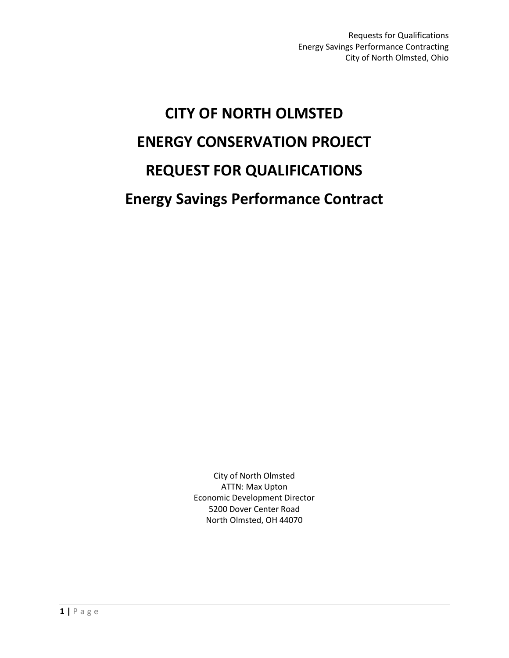# **CITY OF NORTH OLMSTED ENERGY CONSERVATION PROJECT REQUEST FOR QUALIFICATIONS Energy Savings Performance Contract**

City of North Olmsted ATTN: Max Upton Economic Development Director 5200 Dover Center Road North Olmsted, OH 44070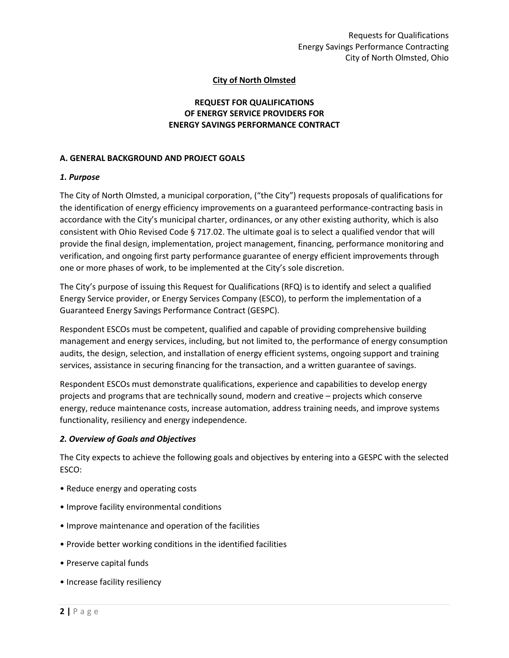# **City of North Olmsted**

# **REQUEST FOR QUALIFICATIONS OF ENERGY SERVICE PROVIDERS FOR ENERGY SAVINGS PERFORMANCE CONTRACT**

#### **A. GENERAL BACKGROUND AND PROJECT GOALS**

#### *1. Purpose*

The City of North Olmsted, a municipal corporation, ("the City") requests proposals of qualifications for the identification of energy efficiency improvements on a guaranteed performance-contracting basis in accordance with the City's municipal charter, ordinances, or any other existing authority, which is also consistent with Ohio Revised Code § 717.02. The ultimate goal is to select a qualified vendor that will provide the final design, implementation, project management, financing, performance monitoring and verification, and ongoing first party performance guarantee of energy efficient improvements through one or more phases of work, to be implemented at the City's sole discretion.

The City's purpose of issuing this Request for Qualifications (RFQ) is to identify and select a qualified Energy Service provider, or Energy Services Company (ESCO), to perform the implementation of a Guaranteed Energy Savings Performance Contract (GESPC).

Respondent ESCOs must be competent, qualified and capable of providing comprehensive building management and energy services, including, but not limited to, the performance of energy consumption audits, the design, selection, and installation of energy efficient systems, ongoing support and training services, assistance in securing financing for the transaction, and a written guarantee of savings.

Respondent ESCOs must demonstrate qualifications, experience and capabilities to develop energy projects and programs that are technically sound, modern and creative – projects which conserve energy, reduce maintenance costs, increase automation, address training needs, and improve systems functionality, resiliency and energy independence.

#### *2. Overview of Goals and Objectives*

The City expects to achieve the following goals and objectives by entering into a GESPC with the selected ESCO:

- Reduce energy and operating costs
- Improve facility environmental conditions
- Improve maintenance and operation of the facilities
- Provide better working conditions in the identified facilities
- Preserve capital funds
- Increase facility resiliency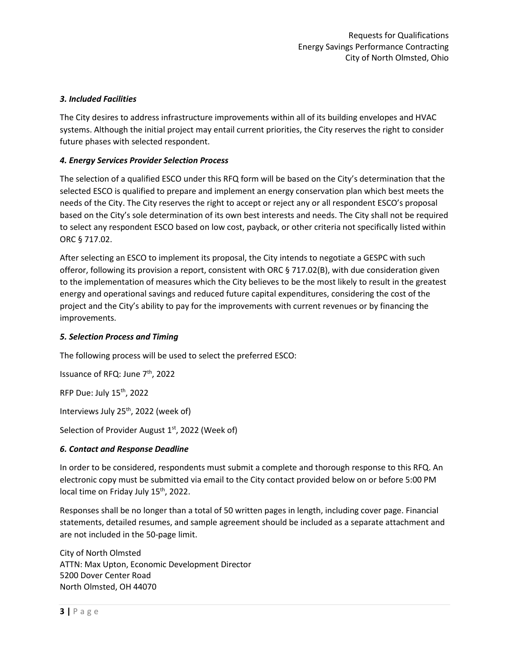# *3. Included Facilities*

The City desires to address infrastructure improvements within all of its building envelopes and HVAC systems. Although the initial project may entail current priorities, the City reserves the right to consider future phases with selected respondent.

## *4. Energy Services Provider Selection Process*

The selection of a qualified ESCO under this RFQ form will be based on the City's determination that the selected ESCO is qualified to prepare and implement an energy conservation plan which best meets the needs of the City. The City reserves the right to accept or reject any or all respondent ESCO's proposal based on the City's sole determination of its own best interests and needs. The City shall not be required to select any respondent ESCO based on low cost, payback, or other criteria not specifically listed within ORC § 717.02.

After selecting an ESCO to implement its proposal, the City intends to negotiate a GESPC with such offeror, following its provision a report, consistent with ORC § 717.02(B), with due consideration given to the implementation of measures which the City believes to be the most likely to result in the greatest energy and operational savings and reduced future capital expenditures, considering the cost of the project and the City's ability to pay for the improvements with current revenues or by financing the improvements.

## *5. Selection Process and Timing*

The following process will be used to select the preferred ESCO:

Issuance of RFQ: June 7<sup>th</sup>, 2022

RFP Due: July 15th, 2022

Interviews July 25<sup>th</sup>, 2022 (week of)

Selection of Provider August 1<sup>st</sup>, 2022 (Week of)

## *6. Contact and Response Deadline*

In order to be considered, respondents must submit a complete and thorough response to this RFQ. An electronic copy must be submitted via email to the City contact provided below on or before 5:00 PM local time on Friday July 15<sup>th</sup>, 2022.

Responses shall be no longer than a total of 50 written pages in length, including cover page. Financial statements, detailed resumes, and sample agreement should be included as a separate attachment and are not included in the 50-page limit.

City of North Olmsted ATTN: Max Upton, Economic Development Director 5200 Dover Center Road North Olmsted, OH 44070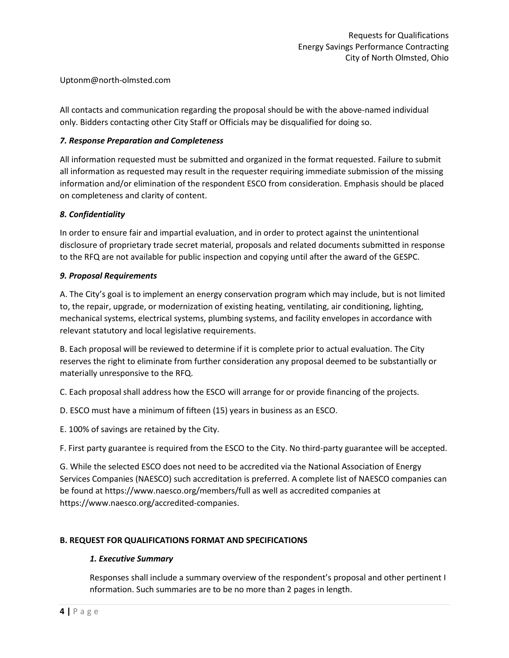Uptonm@north-olmsted.com

All contacts and communication regarding the proposal should be with the above-named individual only. Bidders contacting other City Staff or Officials may be disqualified for doing so.

## *7. Response Preparation and Completeness*

All information requested must be submitted and organized in the format requested. Failure to submit all information as requested may result in the requester requiring immediate submission of the missing information and/or elimination of the respondent ESCO from consideration. Emphasis should be placed on completeness and clarity of content.

# *8. Confidentiality*

In order to ensure fair and impartial evaluation, and in order to protect against the unintentional disclosure of proprietary trade secret material, proposals and related documents submitted in response to the RFQ are not available for public inspection and copying until after the award of the GESPC.

## *9. Proposal Requirements*

A. The City's goal is to implement an energy conservation program which may include, but is not limited to, the repair, upgrade, or modernization of existing heating, ventilating, air conditioning, lighting, mechanical systems, electrical systems, plumbing systems, and facility envelopes in accordance with relevant statutory and local legislative requirements.

B. Each proposal will be reviewed to determine if it is complete prior to actual evaluation. The City reserves the right to eliminate from further consideration any proposal deemed to be substantially or materially unresponsive to the RFQ.

C. Each proposal shall address how the ESCO will arrange for or provide financing of the projects.

D. ESCO must have a minimum of fifteen (15) years in business as an ESCO.

E. 100% of savings are retained by the City.

F. First party guarantee is required from the ESCO to the City. No third-party guarantee will be accepted.

G. While the selected ESCO does not need to be accredited via the National Association of Energy Services Companies (NAESCO) such accreditation is preferred. A complete list of NAESCO companies can be found at https://www.naesco.org/members/full as well as accredited companies at https://www.naesco.org/accredited-companies.

# **B. REQUEST FOR QUALIFICATIONS FORMAT AND SPECIFICATIONS**

# *1. Executive Summary*

Responses shall include a summary overview of the respondent's proposal and other pertinent I nformation. Such summaries are to be no more than 2 pages in length.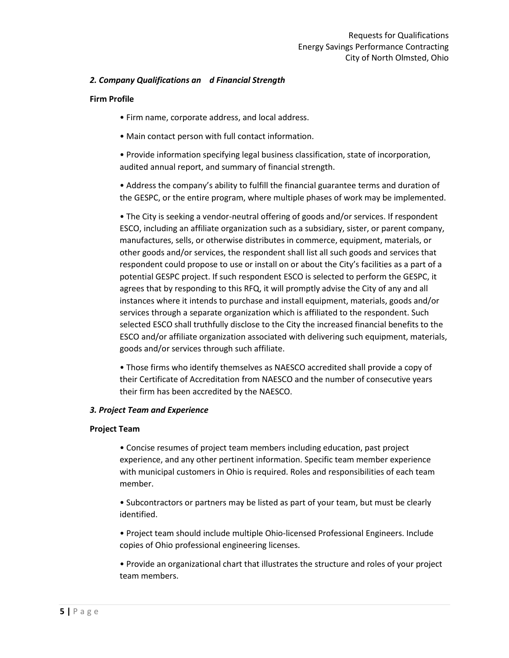## *2. Company Qualifications an d Financial Strength*

#### **Firm Profile**

- Firm name, corporate address, and local address.
- Main contact person with full contact information.

• Provide information specifying legal business classification, state of incorporation, audited annual report, and summary of financial strength.

• Address the company's ability to fulfill the financial guarantee terms and duration of the GESPC, or the entire program, where multiple phases of work may be implemented.

• The City is seeking a vendor-neutral offering of goods and/or services. If respondent ESCO, including an affiliate organization such as a subsidiary, sister, or parent company, manufactures, sells, or otherwise distributes in commerce, equipment, materials, or other goods and/or services, the respondent shall list all such goods and services that respondent could propose to use or install on or about the City's facilities as a part of a potential GESPC project. If such respondent ESCO is selected to perform the GESPC, it agrees that by responding to this RFQ, it will promptly advise the City of any and all instances where it intends to purchase and install equipment, materials, goods and/or services through a separate organization which is affiliated to the respondent. Such selected ESCO shall truthfully disclose to the City the increased financial benefits to the ESCO and/or affiliate organization associated with delivering such equipment, materials, goods and/or services through such affiliate.

• Those firms who identify themselves as NAESCO accredited shall provide a copy of their Certificate of Accreditation from NAESCO and the number of consecutive years their firm has been accredited by the NAESCO.

#### *3. Project Team and Experience*

#### **Project Team**

• Concise resumes of project team members including education, past project experience, and any other pertinent information. Specific team member experience with municipal customers in Ohio is required. Roles and responsibilities of each team member.

• Subcontractors or partners may be listed as part of your team, but must be clearly identified.

• Project team should include multiple Ohio-licensed Professional Engineers. Include copies of Ohio professional engineering licenses.

• Provide an organizational chart that illustrates the structure and roles of your project team members.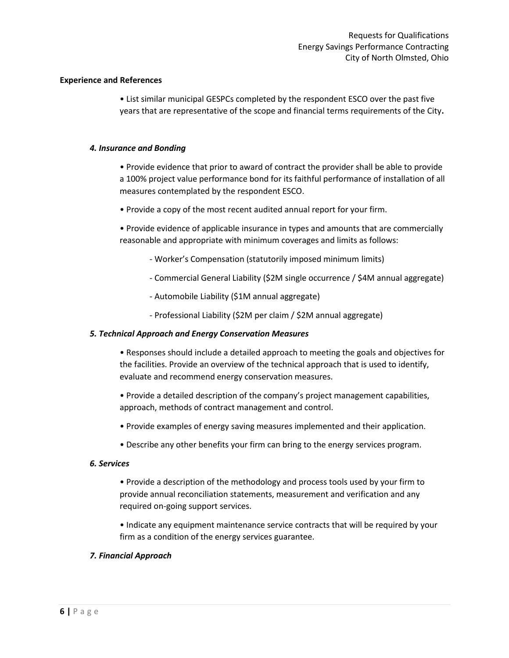#### **Experience and References**

• List similar municipal GESPCs completed by the respondent ESCO over the past five years that are representative of the scope and financial terms requirements of the City**.** 

#### *4. Insurance and Bonding*

• Provide evidence that prior to award of contract the provider shall be able to provide a 100% project value performance bond for its faithful performance of installation of all measures contemplated by the respondent ESCO.

• Provide a copy of the most recent audited annual report for your firm.

• Provide evidence of applicable insurance in types and amounts that are commercially reasonable and appropriate with minimum coverages and limits as follows:

- Worker's Compensation (statutorily imposed minimum limits)
- Commercial General Liability (\$2M single occurrence / \$4M annual aggregate)
- Automobile Liability (\$1M annual aggregate)
- Professional Liability (\$2M per claim / \$2M annual aggregate)

#### *5. Technical Approach and Energy Conservation Measures*

• Responses should include a detailed approach to meeting the goals and objectives for the facilities. Provide an overview of the technical approach that is used to identify, evaluate and recommend energy conservation measures.

• Provide a detailed description of the company's project management capabilities, approach, methods of contract management and control.

- Provide examples of energy saving measures implemented and their application.
- Describe any other benefits your firm can bring to the energy services program.

#### *6. Services*

• Provide a description of the methodology and process tools used by your firm to provide annual reconciliation statements, measurement and verification and any required on-going support services.

• Indicate any equipment maintenance service contracts that will be required by your firm as a condition of the energy services guarantee.

## *7. Financial Approach*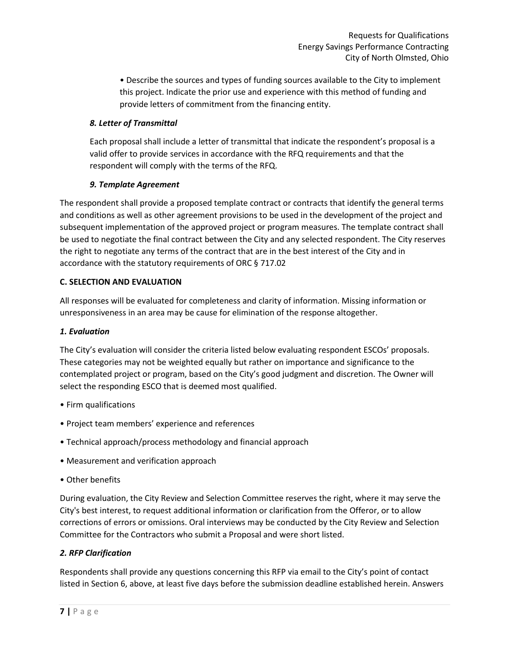• Describe the sources and types of funding sources available to the City to implement this project. Indicate the prior use and experience with this method of funding and provide letters of commitment from the financing entity.

# *8. Letter of Transmittal*

Each proposal shall include a letter of transmittal that indicate the respondent's proposal is a valid offer to provide services in accordance with the RFQ requirements and that the respondent will comply with the terms of the RFQ.

# *9. Template Agreement*

The respondent shall provide a proposed template contract or contracts that identify the general terms and conditions as well as other agreement provisions to be used in the development of the project and subsequent implementation of the approved project or program measures. The template contract shall be used to negotiate the final contract between the City and any selected respondent. The City reserves the right to negotiate any terms of the contract that are in the best interest of the City and in accordance with the statutory requirements of ORC § 717.02

## **C. SELECTION AND EVALUATION**

All responses will be evaluated for completeness and clarity of information. Missing information or unresponsiveness in an area may be cause for elimination of the response altogether.

# *1. Evaluation*

The City's evaluation will consider the criteria listed below evaluating respondent ESCOs' proposals. These categories may not be weighted equally but rather on importance and significance to the contemplated project or program, based on the City's good judgment and discretion. The Owner will select the responding ESCO that is deemed most qualified.

- Firm qualifications
- Project team members' experience and references
- Technical approach/process methodology and financial approach
- Measurement and verification approach
- Other benefits

During evaluation, the City Review and Selection Committee reserves the right, where it may serve the City's best interest, to request additional information or clarification from the Offeror, or to allow corrections of errors or omissions. Oral interviews may be conducted by the City Review and Selection Committee for the Contractors who submit a Proposal and were short listed.

# *2. RFP Clarification*

Respondents shall provide any questions concerning this RFP via email to the City's point of contact listed in Section 6, above, at least five days before the submission deadline established herein. Answers